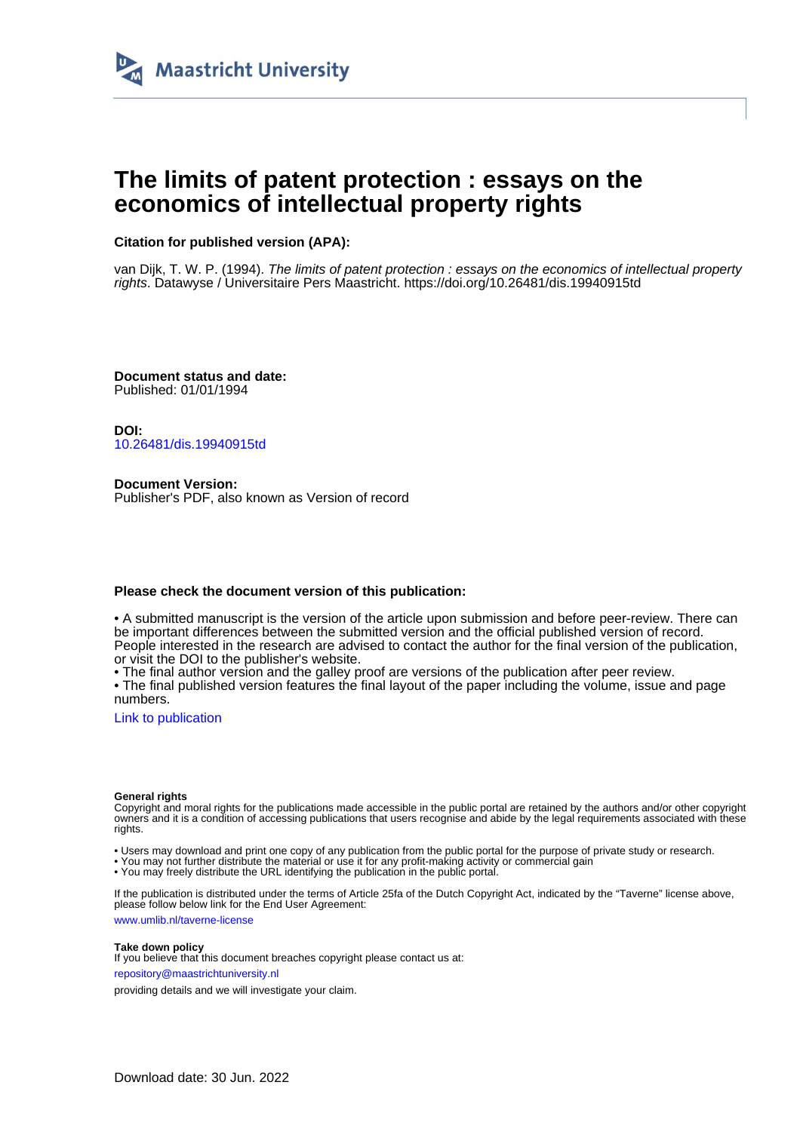

# **The limits of patent protection : essays on the economics of intellectual property rights**

# **Citation for published version (APA):**

van Dijk, T. W. P. (1994). The limits of patent protection : essays on the economics of intellectual property rights. Datawyse / Universitaire Pers Maastricht. <https://doi.org/10.26481/dis.19940915td>

**Document status and date:** Published: 01/01/1994

**DOI:** [10.26481/dis.19940915td](https://doi.org/10.26481/dis.19940915td)

**Document Version:** Publisher's PDF, also known as Version of record

### **Please check the document version of this publication:**

• A submitted manuscript is the version of the article upon submission and before peer-review. There can be important differences between the submitted version and the official published version of record. People interested in the research are advised to contact the author for the final version of the publication, or visit the DOI to the publisher's website.

• The final author version and the galley proof are versions of the publication after peer review.

• The final published version features the final layout of the paper including the volume, issue and page numbers.

[Link to publication](https://cris.maastrichtuniversity.nl/en/publications/e0cd37b8-32a5-4bff-b1da-02f8e8f42604)

#### **General rights**

Copyright and moral rights for the publications made accessible in the public portal are retained by the authors and/or other copyright owners and it is a condition of accessing publications that users recognise and abide by the legal requirements associated with these rights.

• Users may download and print one copy of any publication from the public portal for the purpose of private study or research.

• You may not further distribute the material or use it for any profit-making activity or commercial gain

• You may freely distribute the URL identifying the publication in the public portal.

If the publication is distributed under the terms of Article 25fa of the Dutch Copyright Act, indicated by the "Taverne" license above, please follow below link for the End User Agreement:

www.umlib.nl/taverne-license

#### **Take down policy**

If you believe that this document breaches copyright please contact us at: repository@maastrichtuniversity.nl

providing details and we will investigate your claim.